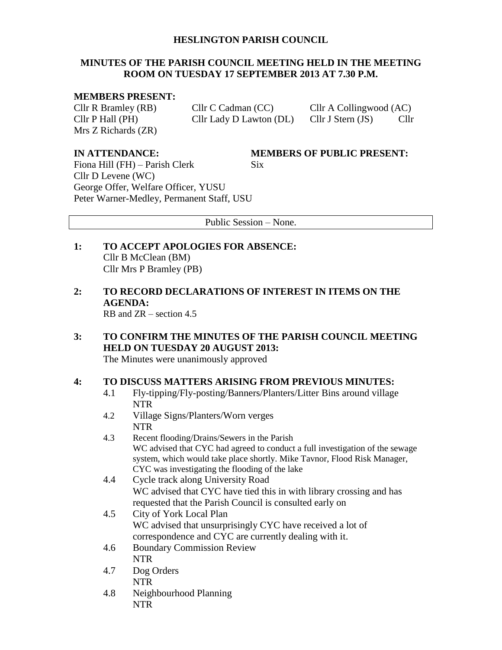## **HESLINGTON PARISH COUNCIL**

## **MINUTES OF THE PARISH COUNCIL MEETING HELD IN THE MEETING ROOM ON TUESDAY 17 SEPTEMBER 2013 AT 7.30 P.M.**

### **MEMBERS PRESENT:**

Mrs Z Richards (ZR)

Cllr R Bramley (RB) Cllr C Cadman (CC) Cllr A Collingwood (AC) Cllr P Hall (PH) Cllr Lady D Lawton (DL) Cllr J Stern (JS) Cllr

**IN ATTENDANCE: MEMBERS OF PUBLIC PRESENT:**

Fiona Hill  $(FH)$  – Parish Clerk Six Cllr D Levene (WC) George Offer, Welfare Officer, YUSU Peter Warner-Medley, Permanent Staff, USU

Public Session – None.

- **1: TO ACCEPT APOLOGIES FOR ABSENCE:** Cllr B McClean (BM) Cllr Mrs P Bramley (PB)
- **2: TO RECORD DECLARATIONS OF INTEREST IN ITEMS ON THE AGENDA:**

RB and ZR – section 4.5

**3: TO CONFIRM THE MINUTES OF THE PARISH COUNCIL MEETING HELD ON TUESDAY 20 AUGUST 2013:** The Minutes were unanimously approved

## **4: TO DISCUSS MATTERS ARISING FROM PREVIOUS MINUTES:**

- 4.1 Fly-tipping/Fly-posting/Banners/Planters/Litter Bins around village NTR
- 4.2 Village Signs/Planters/Worn verges NTR
- 4.3 Recent flooding/Drains/Sewers in the Parish WC advised that CYC had agreed to conduct a full investigation of the sewage system, which would take place shortly. Mike Tavnor, Flood Risk Manager, CYC was investigating the flooding of the lake
- 4.4 Cycle track along University Road WC advised that CYC have tied this in with library crossing and has requested that the Parish Council is consulted early on
- 4.5 City of York Local Plan WC advised that unsurprisingly CYC have received a lot of correspondence and CYC are currently dealing with it.
- 4.6 Boundary Commission Review NTR
- 4.7 Dog Orders NTR
- 4.8 Neighbourhood Planning NTR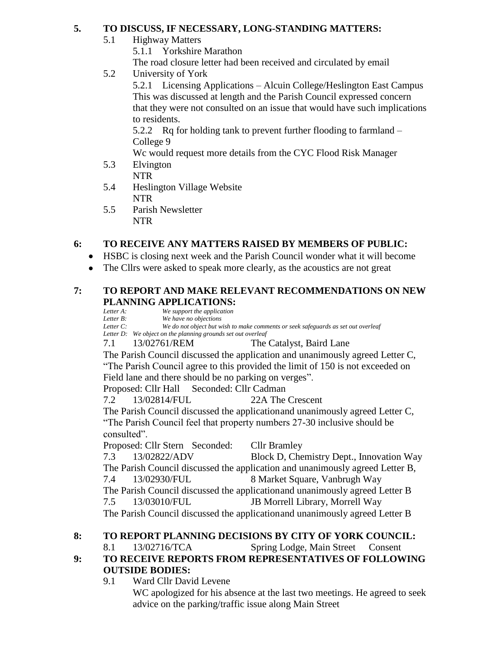## **5. TO DISCUSS, IF NECESSARY, LONG-STANDING MATTERS:**

5.1 Highway Matters

5.1.1 Yorkshire Marathon

The road closure letter had been received and circulated by email

5.2 University of York

5.2.1 Licensing Applications – Alcuin College/Heslington East Campus This was discussed at length and the Parish Council expressed concern that they were not consulted on an issue that would have such implications to residents.

5.2.2 Rq for holding tank to prevent further flooding to farmland – College 9

Wc would request more details from the CYC Flood Risk Manager

- 5.3 Elvington NTR
- 5.4 Heslington Village Website NTR
- 5.5 Parish Newsletter NTR

# **6: TO RECEIVE ANY MATTERS RAISED BY MEMBERS OF PUBLIC:**

- HSBC is closing next week and the Parish Council wonder what it will become
- The Cllrs were asked to speak more clearly, as the acoustics are not great

# **7: TO REPORT AND MAKE RELEVANT RECOMMENDATIONS ON NEW PLANNING APPLICATIONS:**<br>*Letter A:* We support the application

 $We support the application$ *Letter B: We have no objections Letter C: We do not object but wish to make comments or seek safeguards as set out overleaf Letter D: We object on the planning grounds set out overleaf* 7.1 13/02761/REM The Catalyst, Baird Lane The Parish Council discussed the application and unanimously agreed Letter C, "The Parish Council agree to this provided the limit of 150 is not exceeded on Field lane and there should be no parking on verges". Proposed: Cllr Hall Seconded: Cllr Cadman 7.2 13/02814/FUL 22A The Crescent The Parish Council discussed the applicationand unanimously agreed Letter C, "The Parish Council feel that property numbers 27-30 inclusive should be consulted". Proposed: Cllr Stern Seconded: Cllr Bramley 7.3 13/02822/ADV Block D, Chemistry Dept., Innovation Way The Parish Council discussed the application and unanimously agreed Letter B, 7.4 13/02930/FUL 8 Market Square, Vanbrugh Way The Parish Council discussed the applicationand unanimously agreed Letter B 7.5 13/03010/FUL JB Morrell Library, Morrell Way The Parish Council discussed the applicationand unanimously agreed Letter B

# **8: TO REPORT PLANNING DECISIONS BY CITY OF YORK COUNCIL:**

8.1 13/02716/TCA Spring Lodge, Main Street Consent

# **9: TO RECEIVE REPORTS FROM REPRESENTATIVES OF FOLLOWING OUTSIDE BODIES:**

9.1 Ward Cllr David Levene

WC apologized for his absence at the last two meetings. He agreed to seek advice on the parking/traffic issue along Main Street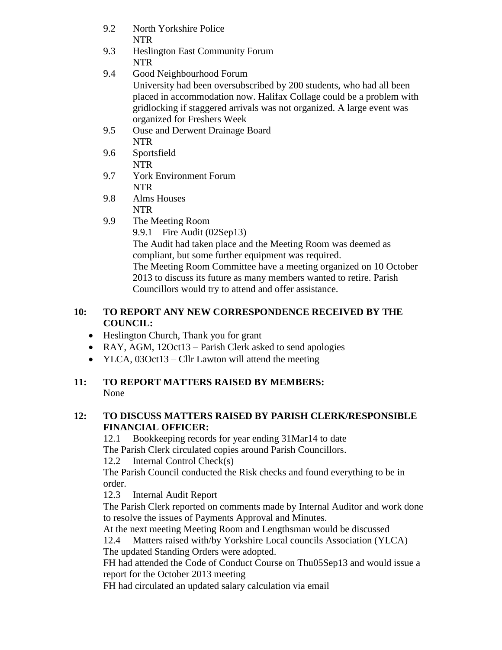- 9.2 North Yorkshire Police NTR
- 9.3 Heslington East Community Forum NTR
- 9.4 Good Neighbourhood Forum University had been oversubscribed by 200 students, who had all been placed in accommodation now. Halifax Collage could be a problem with gridlocking if staggered arrivals was not organized. A large event was organized for Freshers Week
- 9.5 Ouse and Derwent Drainage Board NTR
- 9.6 Sportsfield NTR
- 9.7 York Environment Forum NTR
- 9.8 Alms Houses NTR
- 9.9 The Meeting Room

9.9.1 Fire Audit (02Sep13)

The Audit had taken place and the Meeting Room was deemed as compliant, but some further equipment was required. The Meeting Room Committee have a meeting organized on 10 October 2013 to discuss its future as many members wanted to retire. Parish Councillors would try to attend and offer assistance.

## **10: TO REPORT ANY NEW CORRESPONDENCE RECEIVED BY THE COUNCIL:**

- Heslington Church, Thank you for grant
- RAY, AGM, 12Oct13 Parish Clerk asked to send apologies
- YLCA, 03Oct13 Cllr Lawton will attend the meeting

# **11: TO REPORT MATTERS RAISED BY MEMBERS:** None

# **12: TO DISCUSS MATTERS RAISED BY PARISH CLERK/RESPONSIBLE FINANCIAL OFFICER:**

12.1 Bookkeeping records for year ending 31Mar14 to date The Parish Clerk circulated copies around Parish Councillors.

12.2 Internal Control Check(s)

The Parish Council conducted the Risk checks and found everything to be in order.

12.3 Internal Audit Report

The Parish Clerk reported on comments made by Internal Auditor and work done to resolve the issues of Payments Approval and Minutes.

At the next meeting Meeting Room and Lengthsman would be discussed 12.4 Matters raised with/by Yorkshire Local councils Association (YLCA) The updated Standing Orders were adopted.

FH had attended the Code of Conduct Course on Thu05Sep13 and would issue a report for the October 2013 meeting

FH had circulated an updated salary calculation via email